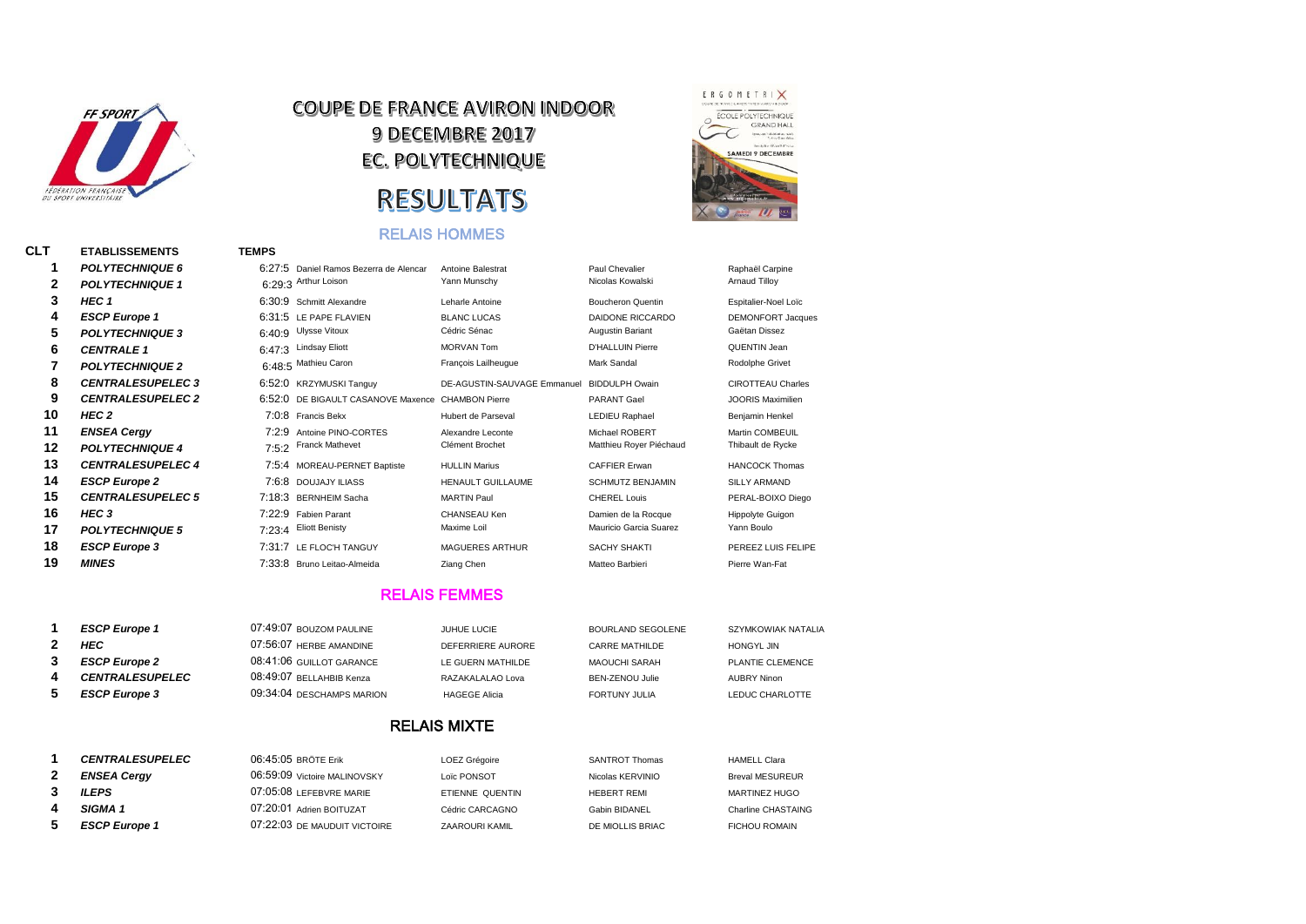

# **COUPE DE FRANCE AVIRON INDOOR 9 DECEMBRE 2017** EC. POLYTECHNIQUE **RESULTATS**

#### RELAIS HOMMES



# **CLT ETABLISSEMENTS TEMPS** *POLYTECHNIQUE 1*

| 1  | <b>POLYTECHNIQUE 6</b>   | 6:27:5 | Daniel Ramos Bezerra de Alencar | <b>Antoine Balestrat</b>    | Paul Chevalier           | Raphaël Carpine          |
|----|--------------------------|--------|---------------------------------|-----------------------------|--------------------------|--------------------------|
| 2  | <b>POLYTECHNIQUE 1</b>   |        | 6:29:3 Arthur Loison            | Yann Munschy                | Nicolas Kowalski         | <b>Arnaud Tilloy</b>     |
| 3  | HEC 1                    | 6:30:9 | Schmitt Alexandre               | Leharle Antoine             | <b>Boucheron Quentin</b> | Espitalier-Noel Loïc     |
| 4  | <b>ESCP Europe 1</b>     | 6:31:5 | LE PAPE FLAVIEN                 | <b>BLANC LUCAS</b>          | DAIDONE RICCARDO         | <b>DEMONFORT Jacques</b> |
| 5  | <b>POLYTECHNIQUE 3</b>   | 6:40:9 | <b>Ulysse Vitoux</b>            | Cédric Sénac                | Augustin Bariant         | Gaëtan Dissez            |
| 6  | <b>CENTRALE 1</b>        | 6:47:3 | <b>Lindsay Eliott</b>           | <b>MORVAN Tom</b>           | <b>D'HALLUIN Pierre</b>  | QUENTIN Jean             |
|    | <b>POLYTECHNIQUE 2</b>   |        | 6:48:5 Mathieu Caron            | François Lailheuque         | Mark Sandal              | Rodolphe Grivet          |
| 8  | <b>CENTRALESUPELEC 3</b> | 6:52:0 | <b>KRZYMUSKI Tanguy</b>         | DE-AGUSTIN-SAUVAGE Emmanuel | <b>BIDDULPH Owain</b>    | <b>CIROTTEAU Charles</b> |
| 9  | <b>CENTRALESUPELEC 2</b> | 6:52:0 | DE BIGAULT CASANOVE Maxence     | <b>CHAMBON Pierre</b>       | <b>PARANT Gael</b>       | <b>JOORIS Maximilien</b> |
| 10 | HEC 2                    |        | 7:0:8 Francis Bekx              | Hubert de Parseval          | <b>LEDIEU Raphael</b>    | Benjamin Henkel          |
| 11 | <b>ENSEA Cergy</b>       | 7:2:9  | Antoine PINO-CORTES             | Alexandre Leconte           | Michael ROBERT           | Martin COMBEUIL          |
| 12 | <b>POLYTECHNIQUE 4</b>   |        | 7:5:2 Franck Mathevet           | Clément Brochet             | Matthieu Royer Piéchaud  | Thibault de Rycke        |
| 13 | <b>CENTRALESUPELEC 4</b> | 7:5:4  | MOREAU-PERNET Baptiste          | <b>HULLIN Marius</b>        | <b>CAFFIER Erwan</b>     | <b>HANCOCK Thomas</b>    |
| 14 | <b>ESCP Europe 2</b>     |        | 7:6:8 DOUJAJY ILIASS            | <b>HENAULT GUILLAUME</b>    | <b>SCHMUTZ BENJAMIN</b>  | <b>SILLY ARMAND</b>      |
| 15 | <b>CENTRALESUPELEC 5</b> |        | 7:18:3 BERNHEIM Sacha           | <b>MARTIN Paul</b>          | <b>CHEREL Louis</b>      | PERAL-BOIXO Diego        |
| 16 | HEC 3                    | 7:22:9 | <b>Fabien Parant</b>            | CHANSEAU Ken                | Damien de la Rocque      | <b>Hippolyte Guigon</b>  |
| 17 | <b>POLYTECHNIQUE 5</b>   | 7:23:4 | <b>Eliott Benisty</b>           | Maxime Loil                 | Mauricio Garcia Suarez   | Yann Boulo               |
| 18 | <b>ESCP Europe 3</b>     | 7:31:7 | LE FLOC'H TANGUY                | <b>MAGUERES ARTHUR</b>      | <b>SACHY SHAKTI</b>      | PEREEZ LUIS FELIPE       |
| 19 | <b>MINES</b>             |        | 7:33:8 Bruno Leitao-Almeida     | Ziang Chen                  | Matteo Barbieri          | Pierre Wan-Fat           |
|    |                          |        |                                 |                             |                          |                          |

#### RELAIS FEMMES

| <b>ESCP Europe 1</b>   | 07:49:07 BOUZOM PAULINE   | JUHUE LUCIE          | BOURLAND SEGOLENE    | SZYMKOWIAK NATALIA |
|------------------------|---------------------------|----------------------|----------------------|--------------------|
| HEC                    | $07:56:07$ HERRE AMANDINE | DEFERRIERE AURORE    | CARRE MATHILDE       | HONGYL JIN         |
| <b>ESCP Europe 2</b>   | 08:41:06 GUILLOT GARANCE  | LE GUERN MATHILDE    | MAOUCHI SARAH        | PLANTIE CLEMENCE   |
| <b>CENTRALESUPELEC</b> | 08:49:07 BELLAHBIB Kenza  | RAZAKALALAO Lova     | BEN-ZENOU Julie      | AUBRY Ninon        |
| <b>ESCP Europe 3</b>   | 09:34:04 DESCHAMPS MARION | <b>HAGEGE Alicia</b> | <b>FORTUNY JULIA</b> | LEDUC CHARLOTTE    |

#### RELAIS MIXTE

| <b>CENTRALESUPELEC</b> | $06:45:05$ BRÖTE Erik        | LOEZ Grégoire   | <b>SANTROT Thomas</b> | <b>HAMELL Clara</b>    |
|------------------------|------------------------------|-----------------|-----------------------|------------------------|
| <b>ENSEA Cergy</b>     | 06:59:09 Victoire MALINOVSKY | Loïc PONSOT     | Nicolas KERVINIO      | <b>Breval MESUREUR</b> |
| <b>ILEPS</b>           | 07:05:08 LEFEBVRE MARIE      | ETIENNE QUENTIN | <b>HEBERT REMI</b>    | MARTINEZ HUGO          |
| SIGMA <sub>1</sub>     | 07:20:01 Adrien BOITUZAT     | Cédric CARCAGNO | Gabin BIDANEL         | Charline CHASTAING     |
| <b>ESCP Europe 1</b>   | 07:22:03 DE MAUDUIT VICTOIRE | ZAAROURI KAMIL  | DE MIOLLIS BRIAC      | <b>FICHOU ROMAIN</b>   |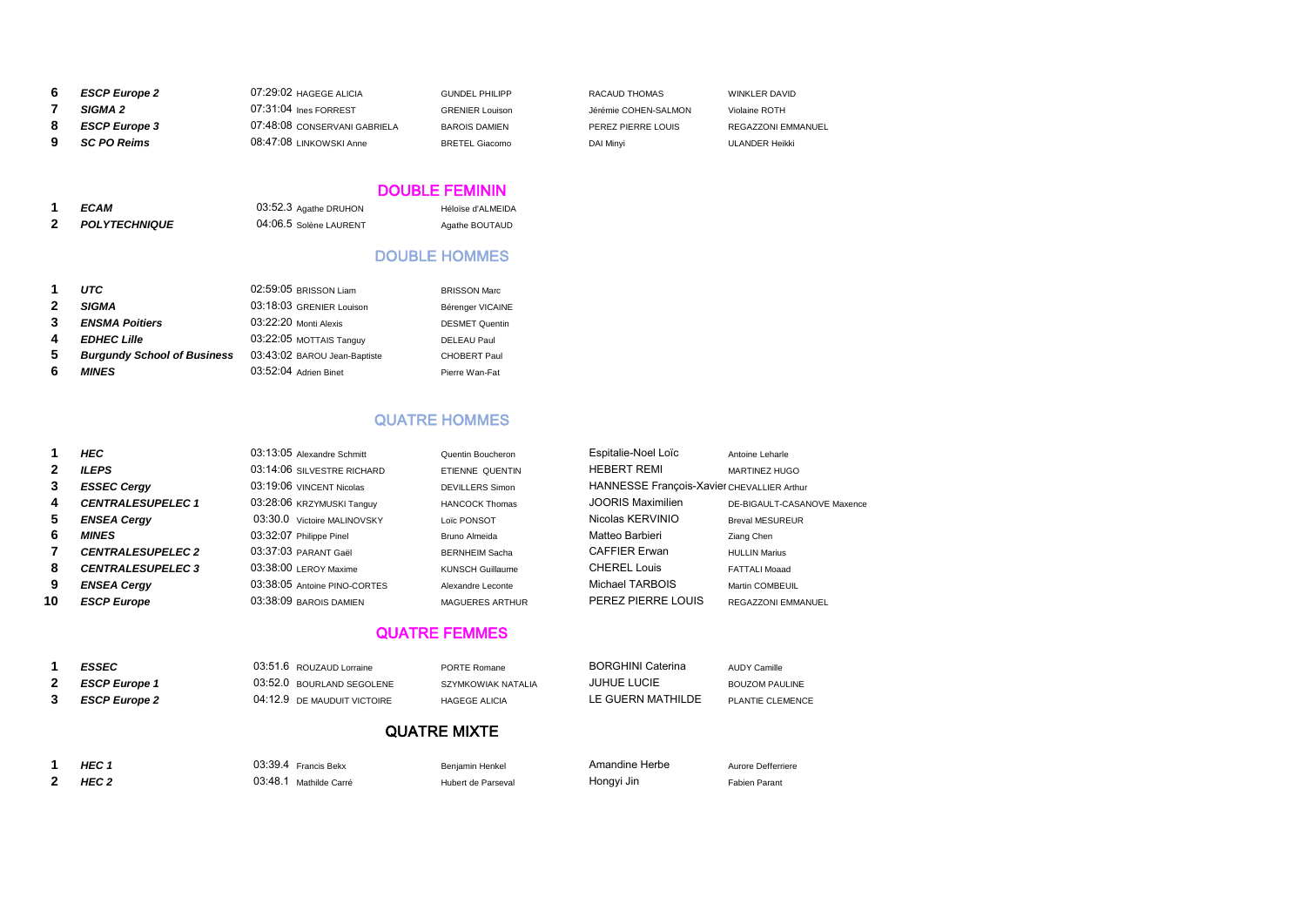|   | <b>ESCP Europe 2</b> | 07:29:02 HAGEGE ALICIA       | <b>GUNDEL PHILIPP</b>  | RACAUD THOMAS        | WINKLER DAVID      |
|---|----------------------|------------------------------|------------------------|----------------------|--------------------|
|   | <b>SIGMA 2</b>       | 07:31:04 Ines FORREST        | <b>GRENIER Louison</b> | Jérémie COHEN-SALMON | Violaine ROTH      |
|   | <b>ESCP Europe 3</b> | 07:48:08 CONSERVANI GABRIELA | <b>BAROIS DAMIEN</b>   | PEREZ PIERRE LOUIS   | REGAZZONI EMMANUEL |
| 9 | <b>SC PO Reims</b>   | 08:47:08 LINKOWSKI Anne      | <b>BRETEL Giacomo</b>  | DAI Minyi            | ULANDER Heikki     |

# DOUBLE FEMININ

| <b>ECAM</b>          | 03:52.3 Agathe DRUHON  | Héloïse d'ALMEIDA |
|----------------------|------------------------|-------------------|
| <b>POLYTECHNIQUE</b> | 04:06.5 Solène LAURENT | Agathe BOUTAUD    |

# DOUBLE HOMMES

| 1            | <b>UTC</b>                         | 02:59:05 BRISSON Liam        | <b>BRISSON Marc</b>   |
|--------------|------------------------------------|------------------------------|-----------------------|
| $\mathbf{2}$ | <b>SIGMA</b>                       | 03:18:03 GRENIER Louison     | Bérenger VICAINE      |
| $\mathbf{3}$ | <b>ENSMA Poitiers</b>              | 03:22:20 Monti Alexis        | <b>DESMET Quentin</b> |
| 4            | <b>EDHEC Lille</b>                 | 03:22:05 MOTTAIS Tanguy      | <b>DELEAU Paul</b>    |
| 5.           | <b>Burgundy School of Business</b> | 03:43:02 BAROU Jean-Baptiste | <b>CHOBERT Paul</b>   |
| 6            | <b>MINES</b>                       | 03:52:04 Adrien Binet        | Pierre Wan-Fat        |

### QUATRE HOMMES

|              | HEC                      | 03:13:05 Alexandre Schmitt   | Quentin Boucheron       | Espitalie-Noel Loïc                        | Antoine Leharle             |
|--------------|--------------------------|------------------------------|-------------------------|--------------------------------------------|-----------------------------|
| $\mathbf{2}$ | <b>ILEPS</b>             | 03:14:06 SILVESTRE RICHARD   | ETIENNE QUENTIN         | <b>HEBERT REMI</b>                         | MARTINEZ HUGO               |
| 3            | <b>ESSEC Cergy</b>       | 03:19:06 VINCENT Nicolas     | <b>DEVILLERS Simon</b>  | HANNESSE François-Xavier CHEVALLIER Arthur |                             |
| 4            | <b>CENTRALESUPELEC1</b>  | 03:28:06 KRZYMUSKI Tanguy    | <b>HANCOCK Thomas</b>   | JOORIS Maximilien                          | DE-BIGAULT-CASANOVE Maxence |
| 5.           | <b>ENSEA Cergy</b>       | 03:30.0 Victoire MALINOVSKY  | Loïc PONSOT             | Nicolas KERVINIO                           | <b>Breval MESUREUR</b>      |
| 6            | <b>MINES</b>             | 03:32:07 Philippe Pinel      | Bruno Almeida           | Matteo Barbieri                            | Ziang Chen                  |
|              | <b>CENTRALESUPELEC 2</b> | 03:37:03 PARANT Gaël         | <b>BERNHEIM Sacha</b>   | <b>CAFFIER Erwan</b>                       | <b>HULLIN Marius</b>        |
| 8            | <b>CENTRALESUPELEC 3</b> | $03:38:00$ LEROY Maxime      | <b>KUNSCH Guillaume</b> | CHEREL Louis                               | FATTALI Moaad               |
| 9            | <b>ENSEA Cergy</b>       | 03:38:05 Antoine PINO-CORTES | Alexandre Leconte       | Michael TARBOIS                            | Martin COMBEUIL             |
| 10           | <b>ESCP Europe</b>       | 03:38:09 BAROIS DAMIEN       | <b>MAGUERES ARTHUR</b>  | PEREZ PIERRE LOUIS                         | <b>REGAZZONI EMMANUEL</b>   |
|              |                          |                              |                         |                                            |                             |

# QUATRE FEMMES

| <b>ESSEC</b>         | 03:51.6 ROUZAUD Lorraine    | PORTE Romane         | <b>BORGHINI Caterina</b> | <b>AUDY Camille</b>   |
|----------------------|-----------------------------|----------------------|--------------------------|-----------------------|
| <b>ESCP Europe 1</b> | 03:52.0 BOURLAND SEGOLENE   | SZYMKOWIAK NATALIA   | <b>JUHUE LUCIE</b>       | <b>BOUZOM PAULINE</b> |
| <b>ESCP Europe 2</b> | 04:12.9 DE MAUDUIT VICTOIRE | <b>HAGEGE ALICIA</b> | LE GUERN MATHILDE        | PLANTIE CLEMENCE      |
|                      |                             |                      |                          |                       |

# QUATRE MIXTE

| HEG   |
|-------|
| 85C 7 |

*HEC 1* 03:39.4 Francis Bekx Benjamin Henkel Amandine Herbe Aurore Defferriere

*HEC 2* 03:48.1 Mathilde Carré Hubert de Parseval Hongyi Jin Fabien Parant